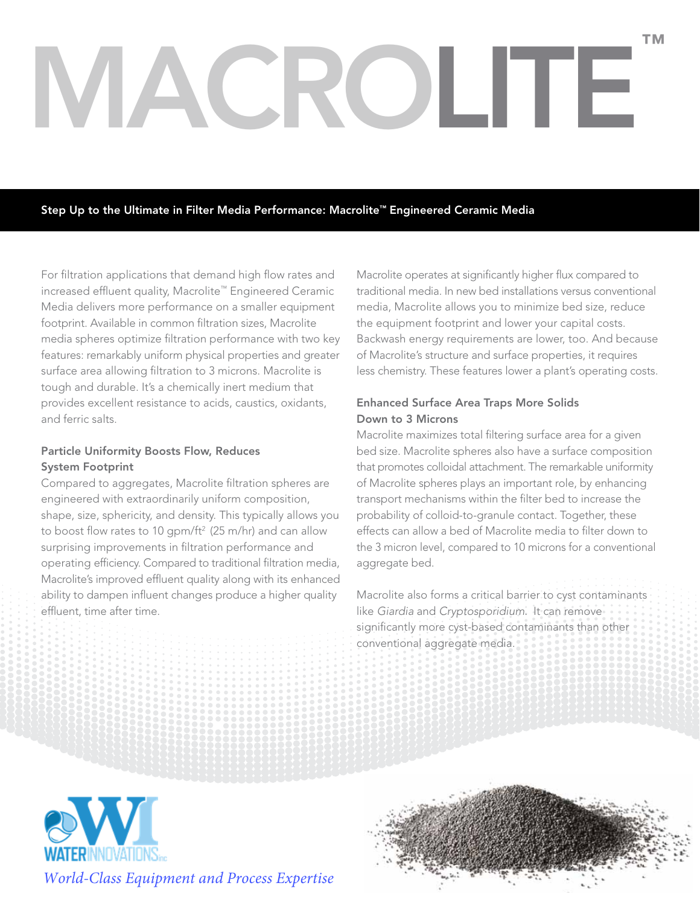# MACROLITE ™

Step Up to the Ultimate in Filter Media Performance: Macrolite™ Engineered Ceramic Media

For filtration applications that demand high flow rates and increased effluent quality, Macrolite™ Engineered Ceramic Media delivers more performance on a smaller equipment footprint. Available in common filtration sizes, Macrolite media spheres optimize filtration performance with two key features: remarkably uniform physical properties and greater surface area allowing filtration to 3 microns. Macrolite is tough and durable. It's a chemically inert medium that provides excellent resistance to acids, caustics, oxidants, and ferric salts.

# Particle Uniformity Boosts Flow, Reduces System Footprint

Compared to aggregates, Macrolite filtration spheres are engineered with extraordinarily uniform composition, shape, size, sphericity, and density. This typically allows you to boost flow rates to 10 gpm/ft<sup>2</sup> (25 m/hr) and can allow surprising improvements in filtration performance and operating efficiency. Compared to traditional filtration media, Macrolite's improved effluent quality along with its enhanced ability to dampen influent changes produce a higher quality effluent, time after time.

Macrolite operates at significantly higher flux compared to traditional media. In new bed installations versus conventional media, Macrolite allows you to minimize bed size, reduce the equipment footprint and lower your capital costs. Backwash energy requirements are lower, too. And because of Macrolite's structure and surface properties, it requires less chemistry. These features lower a plant's operating costs.

# Enhanced Surface Area Traps More Solids Down to 3 Microns

Macrolite maximizes total filtering surface area for a given bed size. Macrolite spheres also have a surface composition that promotes colloidal attachment. The remarkable uniformity of Macrolite spheres plays an important role, by enhancing transport mechanisms within the filter bed to increase the probability of colloid-to-granule contact. Together, these effects can allow a bed of Macrolite media to filter down to the 3 micron level, compared to 10 microns for a conventional aggregate bed.

Macrolite also forms a critical barrier to cyst contaminants like *Giardia* and *Cryptosporidium*. It can remove significantly more cyst-based contaminants than other conventional aggregate media.





*World-Class Equipment and Process Expertise*